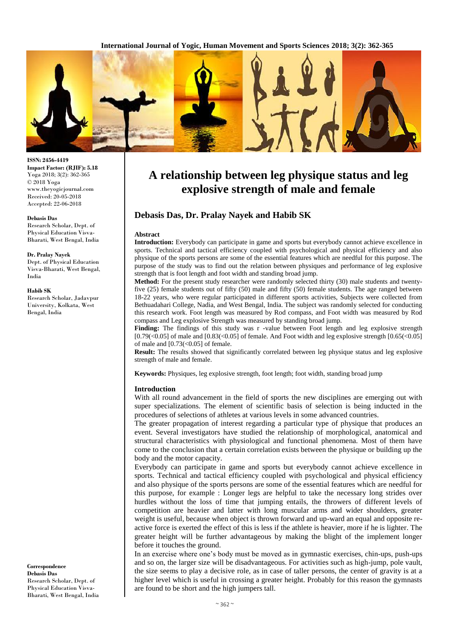**International Journal of Yogic, Human Movement and Sports Sciences 2018; 3(2): 362-365**



# **A relationship between leg physique status and leg explosive strength of male and female**

# **Debasis Das, Dr. Pralay Nayek and Habib SK**

#### **Abstract**

**Introduction:** Everybody can participate in game and sports but everybody cannot achieve excellence in sports. Technical and tactical efficiency coupled with psychological and physical efficiency and also physique of the sports persons are some of the essential features which are needful for this purpose. The purpose of the study was to find out the relation between physiques and performance of leg explosive strength that is foot length and foot width and standing broad jump.

**Method:** For the present study researcher were randomly selected thirty (30) male students and twentyfive (25) female students out of fifty (50) male and fifty (50) female students. The age ranged between 18-22 years, who were regular participated in different sports activities, Subjects were collected from Bethuadahari College, Nadia, and West Bengal, India. The subject was randomly selected for conducting this research work. Foot length was measured by Rod compass, and Foot width was measured by Rod compass and Leg explosive Strength was measured by standing broad jump.

**Finding:** The findings of this study was r -value between Foot length and leg explosive strength  $[0.79 \times (0.05)]$  of male and  $[0.83 \times (0.05)]$  of female. And Foot width and leg explosive strength  $[0.65 \times (0.05)]$ of male and  $[0.73 < 0.05]$  of female.

**Result:** The results showed that significantly correlated between leg physique status and leg explosive strength of male and female.

**Keywords:** Physiques, leg explosive strength, foot length; foot width, standing broad jump

#### **Introduction**

With all round advancement in the field of sports the new disciplines are emerging out with super specializations. The element of scientific basis of selection is being inducted in the procedures of selections of athletes at various levels in some advanced countries.

The greater propagation of interest regarding a particular type of physique that produces an event. Several investigators have studied the relationship of morphological, anatomical and structural characteristics with physiological and functional phenomena. Most of them have come to the conclusion that a certain correlation exists between the physique or building up the body and the motor capacity.

Everybody can participate in game and sports but everybody cannot achieve excellence in sports. Technical and tactical efficiency coupled with psychological and physical efficiency and also physique of the sports persons are some of the essential features which are needful for this purpose, for example : Longer legs are helpful to take the necessary long strides over hurdles without the loss of time that jumping entails, the throwers of different levels of competition are heavier and latter with long muscular arms and wider shoulders, greater weight is useful, because when object is thrown forward and up-ward an equal and opposite reactive force is exerted the effect of this is less if the athlete is heavier, more if he is lighter. The greater height will be further advantageous by making the blight of the implement longer before it touches the ground.

In an exercise where one's body must be moved as in gymnastic exercises, chin-ups, push-ups and so on, the larger size will be disadvantageous. For activities such as high-jump, pole vault, the size seems to play a decisive role, as in case of taller persons, the center of gravity is at a higher level which is useful in crossing a greater height. Probably for this reason the gymnasts are found to be short and the high jumpers tall.

**ISSN: 2456-4419 Impact Factor: (RJIF): 5.18** Yoga 2018; 3(2): 362-365 © 2018 Yoga www.theyogicjournal.com Received: 20-05-2018 Accepted: 22-06-2018

#### **Debasis Das**

Research Scholar, Dept. of Physical Education Visva-Bharati, West Bengal, India

#### **Dr. Pralay Nayek**

Dept. of Physical Education Visva-Bharati, West Bengal, India

#### **Habib SK**

Research Scholar, Jadavpur University, Kolkata, West Bengal, India

**Correspondence Debasis Das** Research Scholar, Dept. of Physical Education Visva-Bharati, West Bengal, India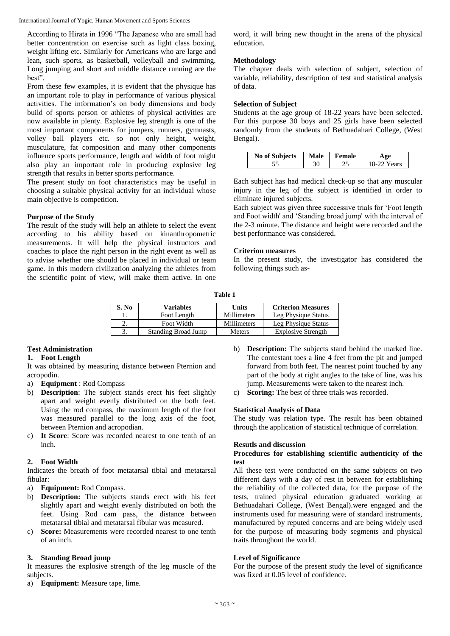International Journal of Yogic, Human Movement and Sports Sciences

According to Hirata in 1996 "The Japanese who are small had better concentration on exercise such as light class boxing, weight lifting etc. Similarly for Americans who are large and lean, such sports, as basketball, volleyball and swimming. Long jumping and short and middle distance running are the best".

From these few examples, it is evident that the physique has an important role to play in performance of various physical activities. The information's on body dimensions and body build of sports person or athletes of physical activities are now available in plenty. Explosive leg strength is one of the most important components for jumpers, runners, gymnasts, volley ball players etc. so not only height, weight, musculature, fat composition and many other components influence sports performance, length and width of foot might also play an important role in producing explosive leg strength that results in better sports performance.

The present study on foot characteristics may be useful in choosing a suitable physical activity for an individual whose main objective is competition.

# **Purpose of the Study**

The result of the study will help an athlete to select the event according to his ability based on kinanthropometric measurements. It will help the physical instructors and coaches to place the right person in the right event as well as to advise whether one should be placed in individual or team game. In this modern civilization analyzing the athletes from the scientific point of view, will make them active. In one word, it will bring new thought in the arena of the physical education.

## **Methodology**

The chapter deals with selection of subject, selection of variable, reliability, description of test and statistical analysis of data.

## **Selection of Subject**

Students at the age group of 18-22 years have been selected. For this purpose 30 boys and 25 girls have been selected randomly from the students of Bethuadahari College, (West Bengal).

| <b>No of Subjects</b> | Male | <b>Female</b> | $\mathbf{a}$ |
|-----------------------|------|---------------|--------------|
|                       |      | ے ت           | ears         |

Each subject has had medical check-up so that any muscular injury in the leg of the subject is identified in order to eliminate injured subjects.

Each subject was given three successive trials for 'Foot length and Foot width' and 'Standing broad jump' with the interval of the 2-3 minute. The distance and height were recorded and the best performance was considered.

# **Criterion measures**

In the present study, the investigator has considered the following things such as-

|--|--|

| S. No | Variables           | Units              | <b>Criterion Measures</b> |
|-------|---------------------|--------------------|---------------------------|
|       | Foot Length         | Millimeters        | Leg Physique Status       |
| ـ.    | Foot Width          | <b>Millimeters</b> | Leg Physique Status       |
|       | Standing Broad Jump | <b>Meters</b>      | <b>Explosive Strength</b> |

# **Test Administration**

## **1. Foot Length**

It was obtained by measuring distance between Pternion and acropodin.

- a) **Equipment** : Rod Compass
- b) **Description**: The subject stands erect his feet slightly apart and weight evenly distributed on the both feet. Using the rod compass, the maximum length of the foot was measured parallel to the long axis of the foot, between Pternion and acropodian.
- c) **It Score**: Score was recorded nearest to one tenth of an inch.

# **2. Foot Width**

Indicates the breath of foot metatarsal tibial and metatarsal fibular:

- a) **Equipment:** Rod Compass.
- b) **Description:** The subjects stands erect with his feet slightly apart and weight evenly distributed on both the feet. Using Rod cam pass, the distance between metatarsal tibial and metatarsal fibular was measured.
- c) **Score:** Measurements were recorded nearest to one tenth of an inch.

# **3. Standing Broad jump**

It measures the explosive strength of the leg muscle of the subjects.

a) **Equipment:** Measure tape, lime.

- b) **Description:** The subjects stand behind the marked line. The contestant toes a line 4 feet from the pit and jumped forward from both feet. The nearest point touched by any part of the body at right angles to the take of line, was his jump. Measurements were taken to the nearest inch.
- c) **Scoring:** The best of three trials was recorded.

# **Statistical Analysis of Data**

The study was relation type. The result has been obtained through the application of statistical technique of correlation.

## **Resutls and discussion**

# **Procedures for establishing scientific authenticity of the test**

All these test were conducted on the same subjects on two different days with a day of rest in between for establishing the reliability of the collected data, for the purpose of the tests, trained physical education graduated working at Bethuadahari College, (West Bengal).were engaged and the instruments used for measuring were of standard instruments, manufactured by reputed concerns and are being widely used for the purpose of measuring body segments and physical traits throughout the world.

## **Level of Significance**

For the purpose of the present study the level of significance was fixed at 0.05 level of confidence.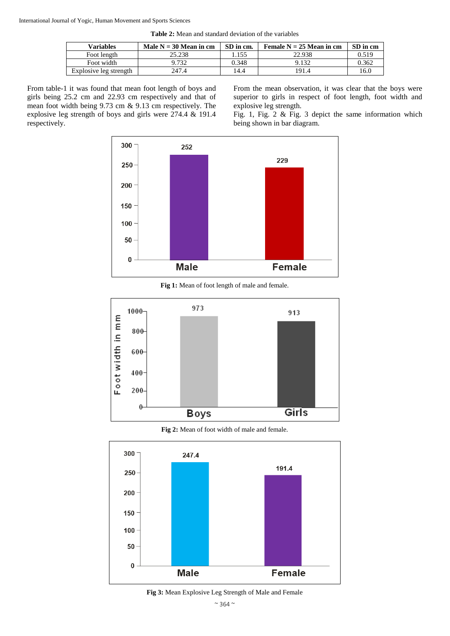International Journal of Yogic, Human Movement and Sports Sciences

**Table 2:** Mean and standard deviation of the variables

| Variables              | Male $N = 30$ Mean in cm | SD in cm. | Female $N = 25$ Mean in cm | SD in cm |
|------------------------|--------------------------|-----------|----------------------------|----------|
| Foot length            | 25.238                   | .155      | 22.938                     | 0.519    |
| Foot width             | 9.732                    | 0.348     | 9.132                      | 0.362    |
| Explosive leg strength | 247.4                    | 14.4      | 191.4                      | 16.0     |

From table-1 it was found that mean foot length of boys and girls being 25.2 cm and 22.93 cm respectively and that of mean foot width being 9.73 cm & 9.13 cm respectively. The explosive leg strength of boys and girls were 274.4 & 191.4 respectively.

From the mean observation, it was clear that the boys were superior to girls in respect of foot length, foot width and explosive leg strength.

Fig. 1, Fig. 2 & Fig. 3 depict the same information which being shown in bar diagram.



**Fig 1:** Mean of foot length of male and female.



**Fig 2:** Mean of foot width of male and female.



**Fig 3:** Mean Explosive Leg Strength of Male and Female